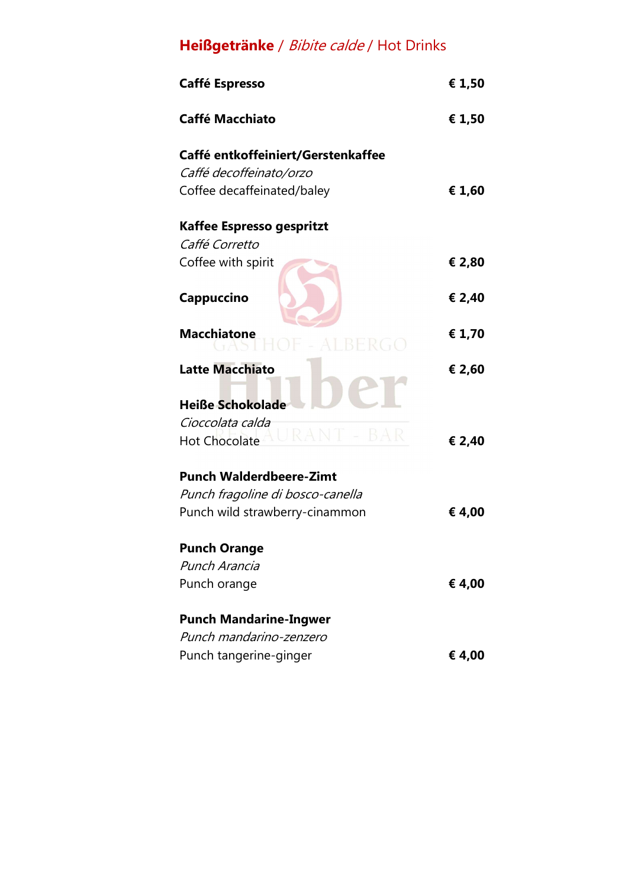# Heißgetränke / Bibite calde / Hot Drinks

| <b>Caffé Espresso</b>              | € 1,50 |
|------------------------------------|--------|
| <b>Caffé Macchiato</b>             | € 1,50 |
| Caffé entkoffeiniert/Gerstenkaffee |        |
| Caffé decoffeinato/orzo            |        |
| Coffee decaffeinated/baley         | € 1,60 |
| Kaffee Espresso gespritzt          |        |
| Caffé Corretto                     |        |
| Coffee with spirit                 | € 2,80 |
| Cappuccino                         | € 2,40 |
| <b>Macchiatone</b><br>BERGO        | € 1,70 |
| <b>Latte Macchiato</b>             | € 2,60 |
| <b>Heiße Schokolade</b>            |        |
| Cioccolata calda                   |        |
| BAR<br><b>Hot Chocolate</b>        | € 2,40 |
| <b>Punch Walderdbeere-Zimt</b>     |        |
| Punch fragoline di bosco-canella   |        |
| Punch wild strawberry-cinammon     | € 4,00 |
| <b>Punch Orange</b>                |        |
| Punch Arancia                      |        |
| Punch orange                       | € 4,00 |
| <b>Punch Mandarine-Ingwer</b>      |        |
| Punch mandarino-zenzero            |        |
| Punch tangerine-ginger             | € 4,00 |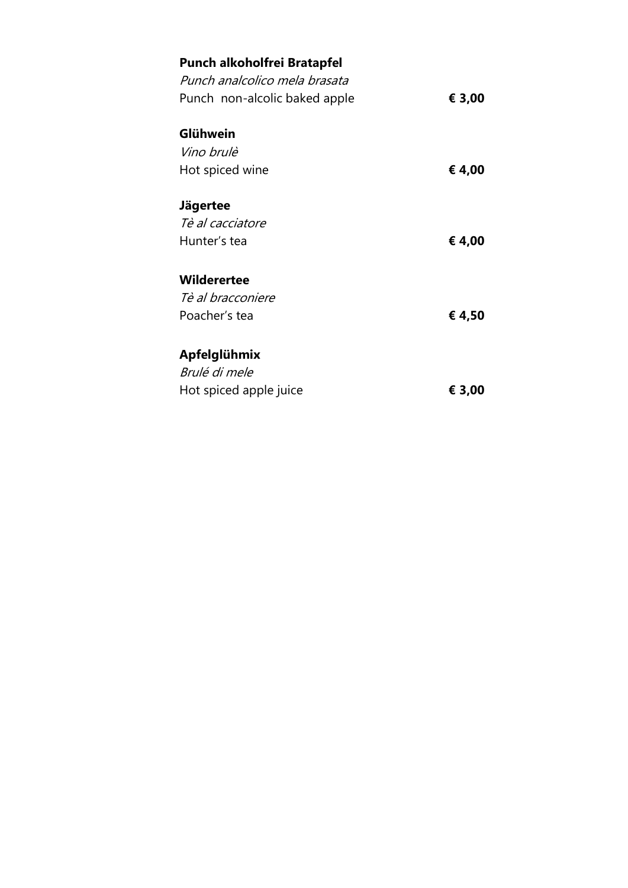| Punch alkoholfrei Bratapfel   |        |
|-------------------------------|--------|
| Punch analcolico mela brasata |        |
| Punch non-alcolic baked apple | € 3,00 |
|                               |        |
| Glühwein                      |        |
| Vino brulè                    |        |
| Hot spiced wine               | € 4,00 |
|                               |        |
| Jägertee                      |        |
| Tè al cacciatore              |        |
| Hunter's tea                  | € 4,00 |
|                               |        |
| <b>Wilderertee</b>            |        |
| <i>Tè al bracconiere</i>      |        |
| Poacher's tea                 | € 4,50 |
|                               |        |
| Apfelglühmix                  |        |
| Brulé di mele                 |        |
| Hot spiced apple juice        | € 3,00 |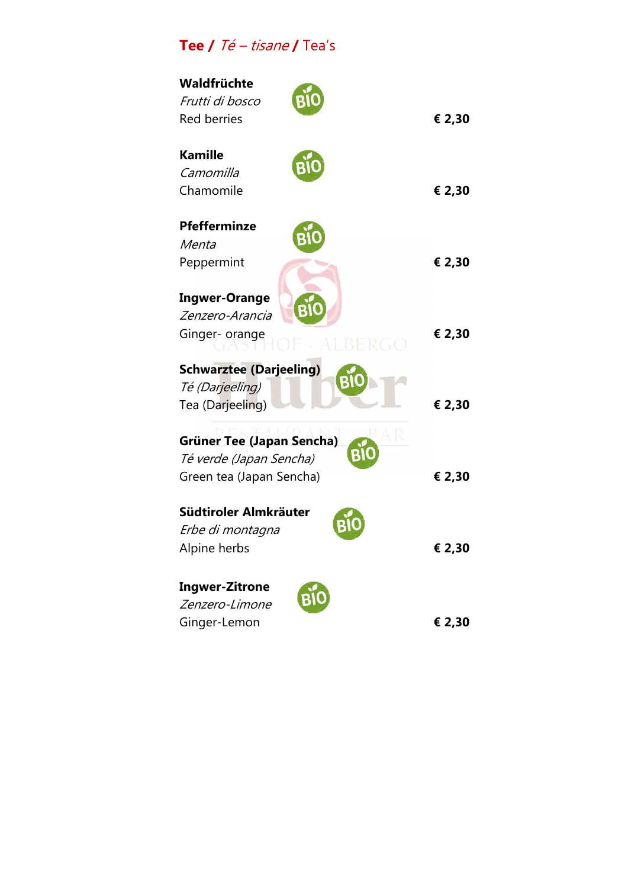### Tee /  $T\acute{e}$  – tisane / Tea's

| Waldfrüchte<br>Frutti di bosco<br><b>Red berries</b>                  |   | € 2,30 |
|-----------------------------------------------------------------------|---|--------|
| <b>Kamille</b><br>Camomilla                                           |   |        |
| Chamomile                                                             |   | € 2,30 |
| Pfefferminze<br>Menta                                                 |   |        |
| Peppermint                                                            |   | € 2,30 |
| <b>Ingwer-Orange</b><br>Zenzero-Arancia<br>Ginger-orange              |   | € 2,30 |
| <b>Schwarztee (Darjeeling)</b><br>Té (Darjeeling)<br>Tea (Darjeeling) | B | € 2,30 |
| <b>Grüner Tee (Japan Sencha)</b><br>Té verde (Japan Sencha)           |   |        |
| Green tea (Japan Sencha)                                              |   | € 2,30 |
| Südtiroler Almkräuter<br>Erbe di montagna                             |   |        |
| Alpine herbs                                                          |   | € 2,30 |
| <b>Ingwer-Zitrone</b>                                                 |   |        |
| Zenzero-Limone<br>Ginger-Lemon                                        |   | € 2,30 |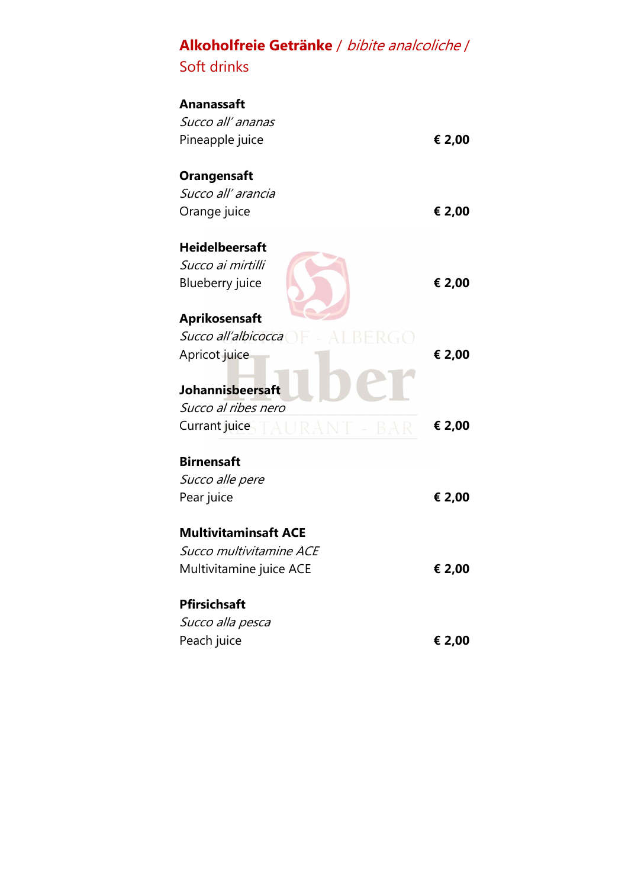#### Alkoholfreie Getränke / bibite analcoliche / Soft drinks

| <b>Ananassaft</b>                  |        |
|------------------------------------|--------|
| Succo all' ananas                  |        |
| Pineapple juice                    | € 2,00 |
| <b>Orangensaft</b>                 |        |
| Succo all' arancia                 |        |
| Orange juice                       | € 2,00 |
| <b>Heidelbeersaft</b>              |        |
| Succo ai mirtilli                  |        |
| <b>Blueberry juice</b>             | € 2,00 |
| Aprikosensaft                      |        |
| Succo all'albicocca                |        |
| Apricot juice                      | € 2,00 |
| <b>Johannisbeersaft</b>            |        |
| Succo al ribes nero                |        |
| Currant juice<br>TA LIR A N<br>A R | € 2,00 |
| <b>Birnensaft</b>                  |        |
| Succo alle pere                    |        |
| Pear juice                         | € 2,00 |
| <b>Multivitaminsaft ACE</b>        |        |
| Succo multivitamine ACE            |        |
| Multivitamine juice ACE            | € 2,00 |
| <b>Pfirsichsaft</b>                |        |
| Succo alla pesca                   |        |
| Peach juice                        | € 2,00 |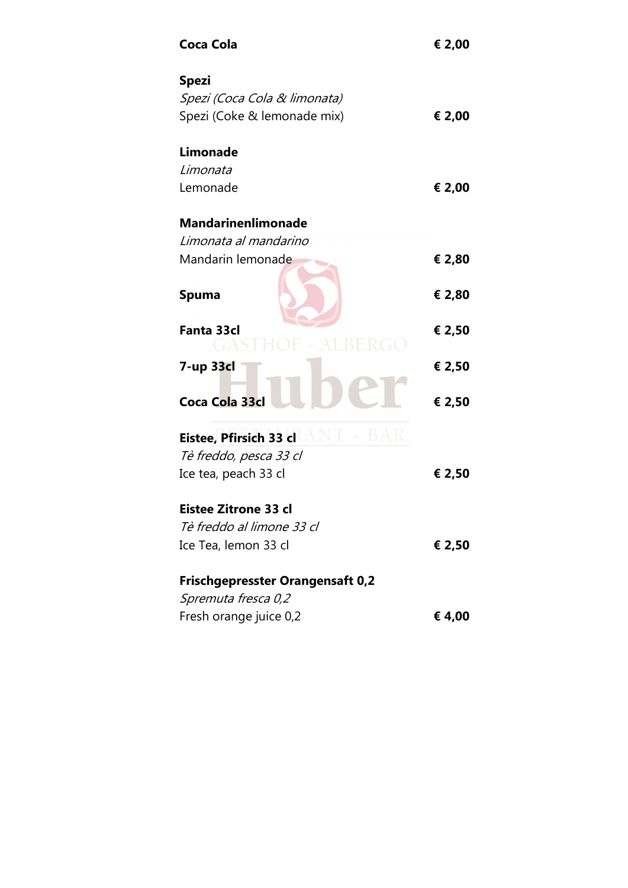| <b>Coca Cola</b>                                         | € 2,00 |
|----------------------------------------------------------|--------|
| <b>Spezi</b>                                             |        |
| Spezi (Coca Cola & limonata)                             |        |
| Spezi (Coke & lemonade mix)                              | € 2,00 |
| Limonade                                                 |        |
| Limonata                                                 |        |
| Lemonade                                                 | € 2,00 |
| <b>Mandarinenlimonade</b>                                |        |
| Limonata al mandarino                                    |        |
| Mandarin lemonade                                        | € 2,80 |
| Spuma                                                    | € 2,80 |
| <b>Fanta 33cl</b><br>RGO                                 | € 2,50 |
| 7-up 33cl                                                | € 2,50 |
| Coca Cola 33cl                                           | € 2,50 |
| Eistee, Pfirsich 33 c $\mathsf{RANT}\,$ - $\mathbb{BAR}$ |        |
| Tè freddo, pesca 33 cl                                   |        |
| Ice tea, peach 33 cl                                     | € 2,50 |
| Eistee Zitrone 33 cl                                     |        |
| Tè freddo al limone 33 cl                                |        |
| Ice Tea, lemon 33 cl                                     | € 2,50 |
| <b>Frischgepresster Orangensaft 0,2</b>                  |        |
| Spremuta fresca 0,2                                      |        |
| Fresh orange juice 0,2                                   | € 4,00 |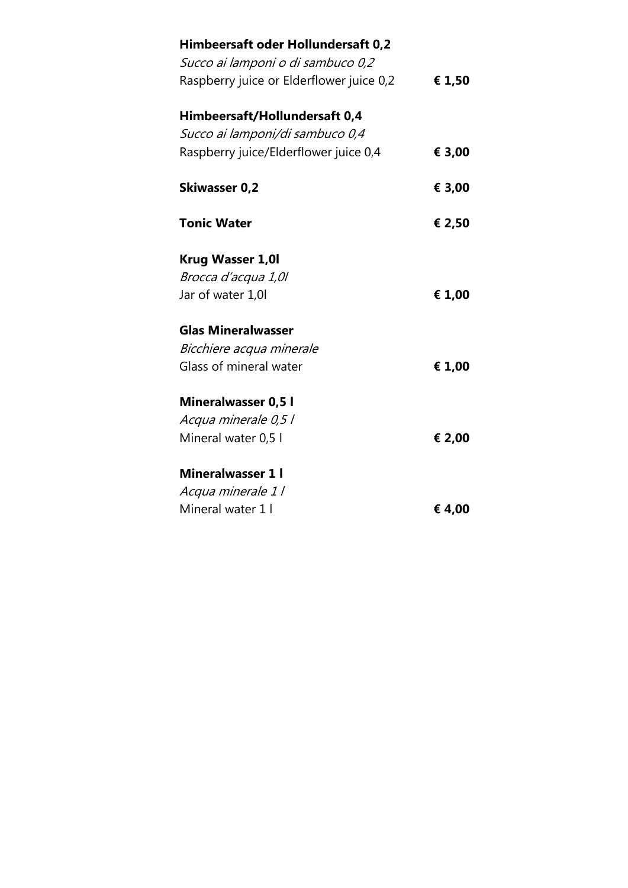| <b>Himbeersaft oder Hollundersaft 0,2</b> |        |
|-------------------------------------------|--------|
| Succo ai lamponi o di sambuco 0,2         |        |
| Raspberry juice or Elderflower juice 0,2  | € 1,50 |
| Himbeersaft/Hollundersaft 0,4             |        |
| Succo ai lamponi/di sambuco 0,4           |        |
| Raspberry juice/Elderflower juice 0,4     | € 3,00 |
| <b>Skiwasser 0,2</b>                      | € 3,00 |
| <b>Tonic Water</b>                        | € 2,50 |
| Krug Wasser 1,01                          |        |
| Brocca d'acqua 1,0l                       |        |
| Jar of water 1,01                         | € 1,00 |
| <b>Glas Mineralwasser</b>                 |        |
| Bicchiere acqua minerale                  |        |
| Glass of mineral water                    | € 1,00 |
| <b>Mineralwasser 0,5 l</b>                |        |
| Acqua minerale 0,5 l                      |        |
| Mineral water 0,5 l                       | € 2,00 |
| Mineralwasser 1 l                         |        |
| Acqua minerale 11                         |        |
| Mineral water 1 I                         | € 4,00 |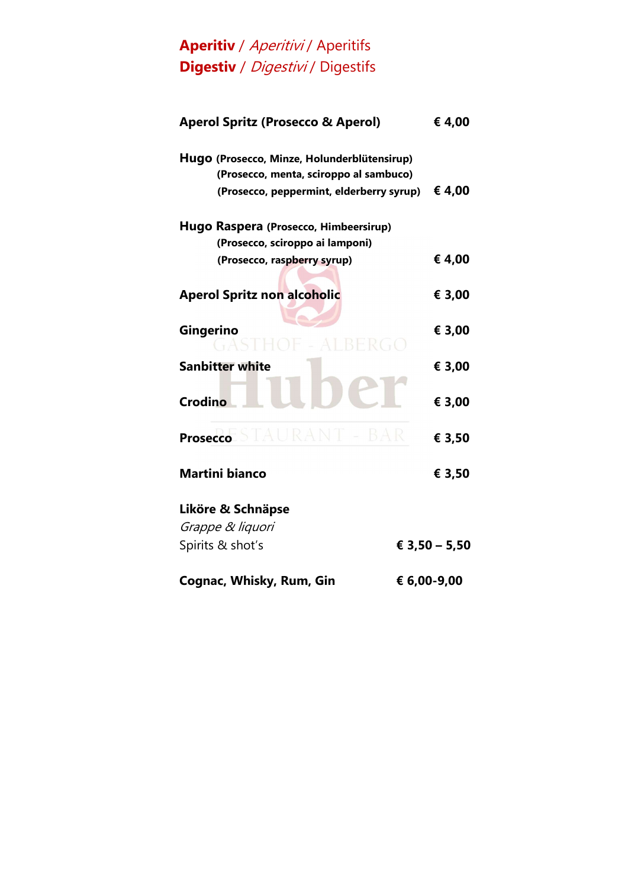### Aperitiv / Aperitivi / Aperitifs Digestiv / Digestivi / Digestifs

| <b>Aperol Spritz (Prosecco &amp; Aperol)</b>                                                                                      | € 4,00        |
|-----------------------------------------------------------------------------------------------------------------------------------|---------------|
| Hugo (Prosecco, Minze, Holunderblütensirup)<br>(Prosecco, menta, sciroppo al sambuco)<br>(Prosecco, peppermint, elderberry syrup) | € 4,00        |
| Hugo Raspera (Prosecco, Himbeersirup)                                                                                             |               |
| (Prosecco, sciroppo ai lamponi)<br>(Prosecco, raspberry syrup)                                                                    | € 4,00        |
|                                                                                                                                   |               |
| <b>Aperol Spritz non alcoholic</b>                                                                                                | € 3,00        |
| Gingerino<br>3 G O<br>(AS1)                                                                                                       | € 3,00        |
| <b>Sanbitter white</b>                                                                                                            | € 3,00        |
| Crodino                                                                                                                           | € 3,00        |
| \URANT - BAR<br><b>Prosecco</b>                                                                                                   | € 3,50        |
| <b>Martini bianco</b>                                                                                                             | € 3,50        |
| Liköre & Schnäpse                                                                                                                 |               |
| Grappe & liquori                                                                                                                  |               |
| Spirits & shot's                                                                                                                  | € 3,50 - 5,50 |
| Cognac, Whisky, Rum, Gin                                                                                                          | € 6,00-9,00   |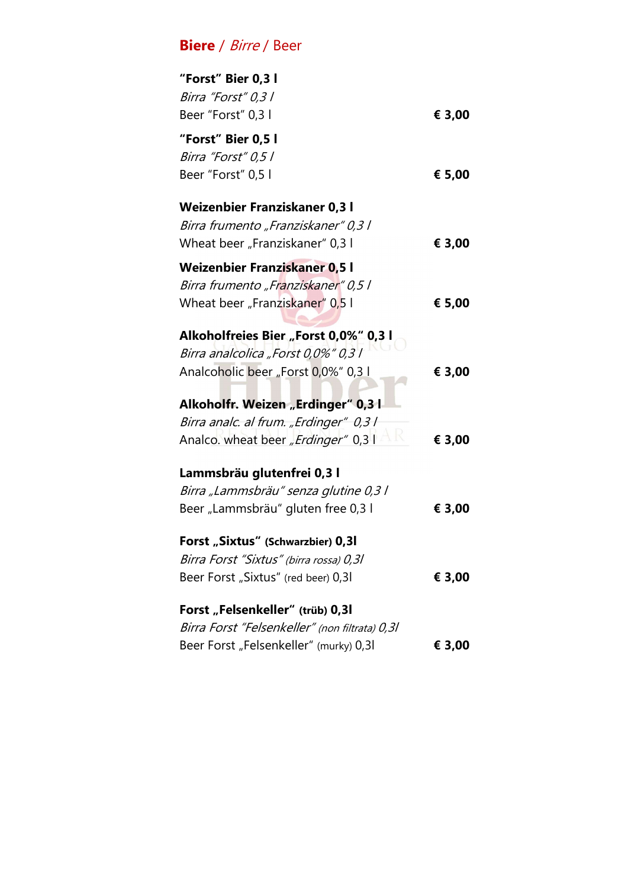#### Biere / Birre / Beer

| "Forst" Bier 0,3 l                             |        |
|------------------------------------------------|--------|
| Birra "Forst" 0,3 l                            |        |
| Beer "Forst" 0,3 l                             | € 3,00 |
| "Forst" Bier 0.5 l                             |        |
| Birra "Forst" 0,5 l                            |        |
| Beer "Forst" 0,5 l                             | € 5,00 |
| Weizenbier Franziskaner 0,3 l                  |        |
| Birra frumento "Franziskaner" 0,3 l            |        |
| Wheat beer "Franziskaner" 0,3 l                | € 3,00 |
| Weizenbier Franziskaner 0,5 l                  |        |
| Birra frumento "Franziskaner" 0,5 l            |        |
| Wheat beer "Franziskaner" 0,5 l                | € 5,00 |
| Alkoholfreies Bier "Forst 0,0%" 0,3 l          |        |
| Birra analcolica "Forst 0,0%" 0,3 l            |        |
| Analcoholic beer "Forst 0,0%" 0,3 l            | € 3,00 |
| Alkoholfr. Weizen "Erdinger" 0,3 l             |        |
| Birra analc. al frum. "Erdinger" 0,3 l         |        |
| R<br>Analco. wheat beer "Erdinger" 0,31        | € 3,00 |
| Lammsbräu glutenfrei 0,3 l                     |        |
| Birra "Lammsbräu" senza glutine 0,3 l          |        |
| Beer "Lammsbräu" gluten free 0,3 l             | € 3,00 |
| Forst "Sixtus" (Schwarzbier) 0,31              |        |
| Birra Forst "Sixtus" (birra rossa) 0,31        |        |
| Beer Forst "Sixtus" (red beer) 0,31            | € 3,00 |
| Forst "Felsenkeller" (trüb) 0,3l               |        |
| Birra Forst "Felsenkeller" (non filtrata) 0,31 |        |
| Beer Forst "Felsenkeller" (murky) 0,31         | € 3,00 |
|                                                |        |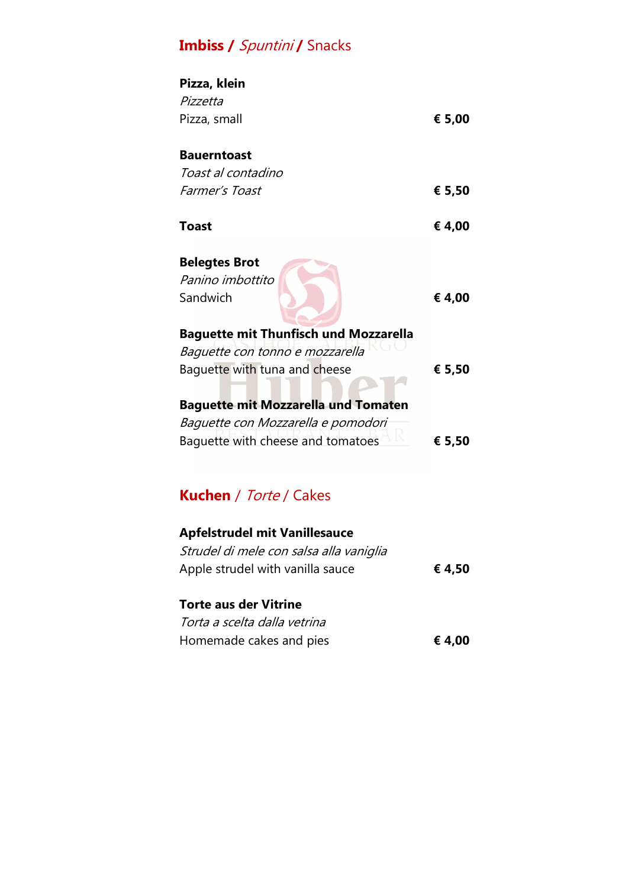#### Imbiss / Spuntini / Snacks

| Pizza, klein                                 |        |
|----------------------------------------------|--------|
| Pizzetta                                     |        |
| Pizza, small                                 | € 5,00 |
| <b>Bauerntoast</b>                           |        |
|                                              |        |
| Toast al contadino                           |        |
| Farmer's Toast                               | € 5,50 |
| <b>Toast</b>                                 | € 4,00 |
| <b>Belegtes Brot</b>                         |        |
| Panino imbottito                             |        |
| Sandwich                                     | € 4,00 |
| <b>Baguette mit Thunfisch und Mozzarella</b> |        |
| Baquette con tonno e mozzarella              |        |
| Baguette with tuna and cheese                | € 5,50 |
| <b>Baguette mit Mozzarella und Tomaten</b>   |        |
| Baguette con Mozzarella e pomodori           |        |
| Baguette with cheese and tomatoes            | € 5,50 |

### Kuchen / Torte / Cakes

| <b>Apfelstrudel mit Vanillesauce</b>    |        |
|-----------------------------------------|--------|
| Strudel di mele con salsa alla vaniglia |        |
| Apple strudel with vanilla sauce        | € 4,50 |
| <b>Torte aus der Vitrine</b>            |        |
|                                         |        |
| Torta a scelta dalla vetrina            |        |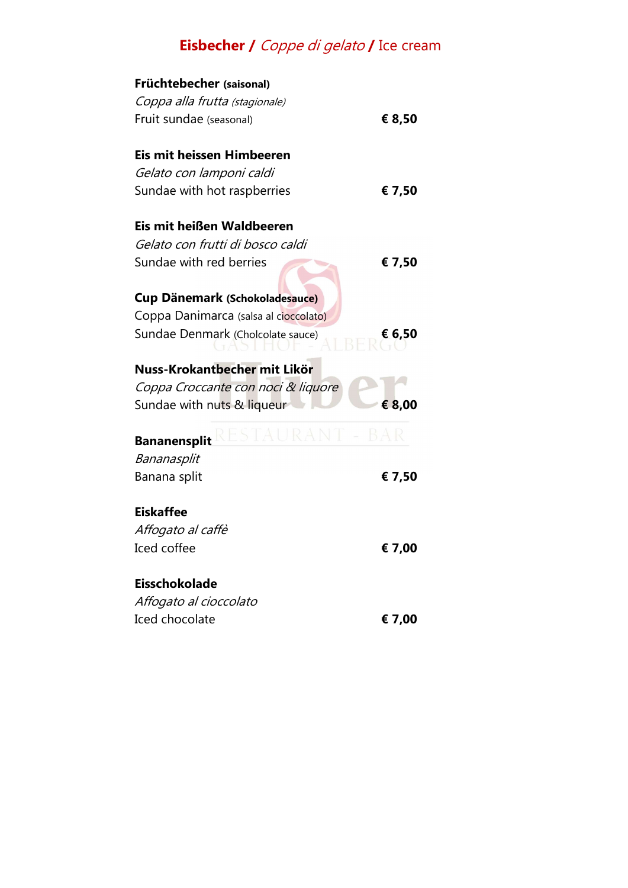# Eisbecher / Coppe di gelato / Ice cream

| Früchtebecher (saisonal)              |        |
|---------------------------------------|--------|
| Coppa alla frutta (stagionale)        |        |
| Fruit sundae (seasonal)               | € 8,50 |
| Eis mit heissen Himbeeren             |        |
| Gelato con lamponi caldi              |        |
| Sundae with hot raspberries           | € 7,50 |
| Eis mit heißen Waldbeeren             |        |
| Gelato con frutti di bosco caldi      |        |
| Sundae with red berries               | € 7,50 |
| <b>Cup Dänemark (Schokoladesauce)</b> |        |
| Coppa Danimarca (salsa al cioccolato) |        |
| Sundae Denmark (Cholcolate sauce)     | € 6,50 |
|                                       |        |
|                                       |        |
| Nuss-Krokantbecher mit Likör          |        |
| Coppa Croccante con noci & liquore    |        |
| Sundae with nuts & liqueur            | € 8,00 |
| TAURANT - BAR<br><b>Bananensplit</b>  |        |
| Bananasplit                           |        |
| Banana split                          | € 7,50 |
|                                       |        |
| <b>Eiskaffee</b>                      |        |
| Affogato al caffè                     |        |
| Iced coffee                           | € 7,00 |
| <b>Eisschokolade</b>                  |        |
| Affogato al cioccolato                |        |
| Iced chocolate                        | € 7,00 |